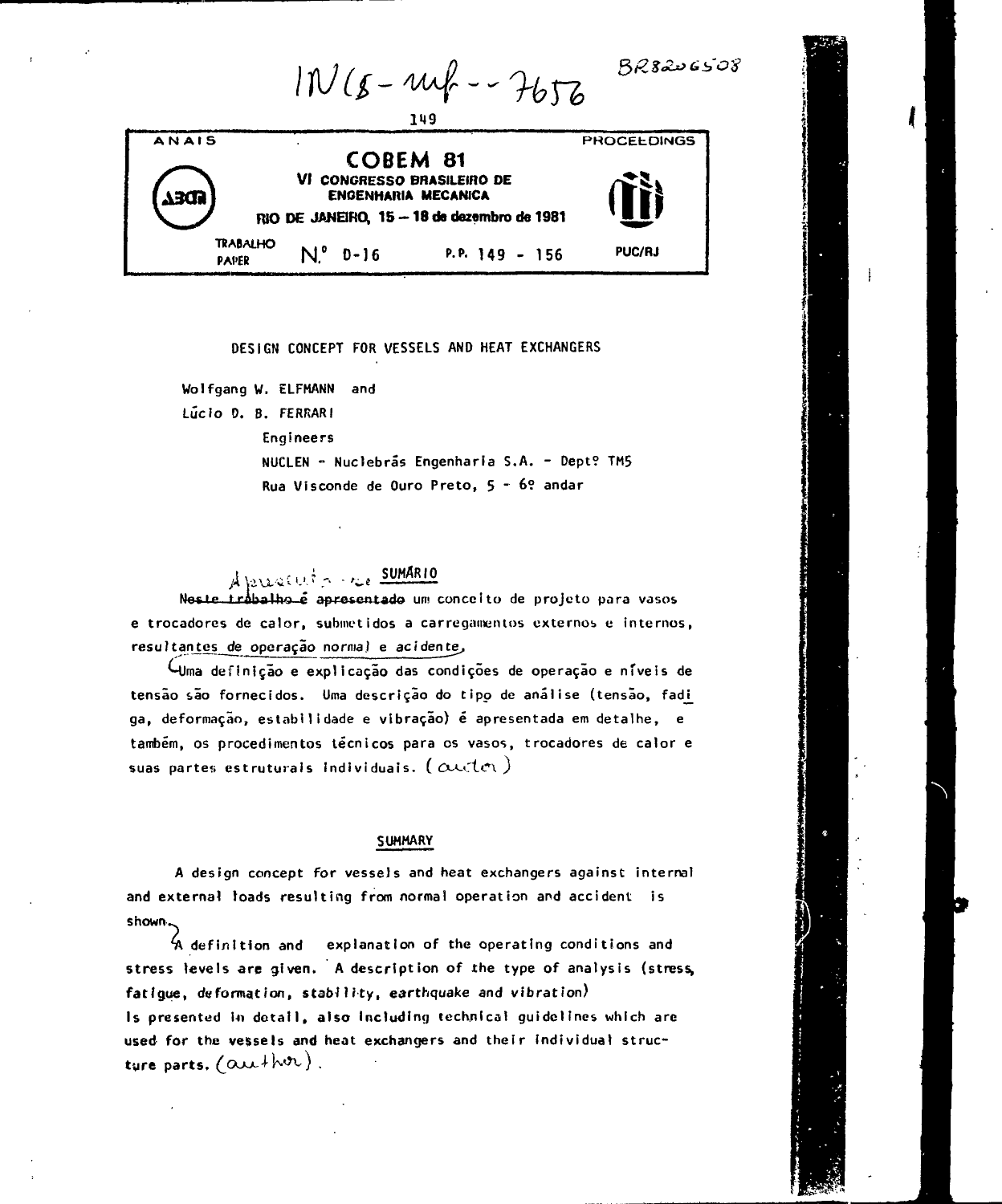|       |                                 | 149                                                                         | $IW(s - m f - 7676)$                        | $BR$ 8206508       |  |
|-------|---------------------------------|-----------------------------------------------------------------------------|---------------------------------------------|--------------------|--|
| ANAIS |                                 | <b>COBEM 81</b><br>VI CONGRESSO BRASILEIRO DE<br><b>ENGENHARIA MECANICA</b> | RIO DE JANEIRO, 15 - 18 de dezembro de 1981 | <b>PROCELDINGS</b> |  |
|       | <b>TRABALHO</b><br><b>PAPER</b> | $N^{\circ}$ D-16                                                            | P.P. 149 - 156                              | <b>PUC/RJ</b>      |  |

**DESIGN CONCEPT FOR VESSELS AND HEAT EXCHANGERS**

**Wolfgang W, ELFMANN and**

**Lúcio O. B. FERRARI**

**Engineers**

**NUCLEN - Nuctebrãs Engenharia S.A. - Dept? TM5 Rua Visconde de Ouro Preto, 5 ~ 6? andar**

**tte Ift If the SUMARIO**<br>**Neste trabalho é apresentado** um conceito de projeto para vasos **e trocadores de calor, submetidos a carregamentos externos c internos, resu?tanjes\_cte operação normal e acidente^**

**MJma definição e explicação das condições de operação e níveis de tensão são fornecidos. Uma descrição do tipo de análise (tensão, fadj\_ ga, deformação, estabilidade e vibração) é apresentada em detalhe, e também, os procedimentos técnicos para cs vasos, trocadores de calor e** suas partes estruturals Individuais.  $(\alpha$ uctet)

## **SUMMARY**

**A design concept for vessels and heat exchangers against internal and external toads resulting from normal operation and accident is shown..**

**4\ definition and explanation of the operating conditions and stress levels are given. A description of the type of analysis (stress, fatigue, deformation, stability, earthquake and vibration) Is presented \n detail, also Including technical guidelines which arc used for the vessels and heat exchangers and their Individual struc**ture parts. (author).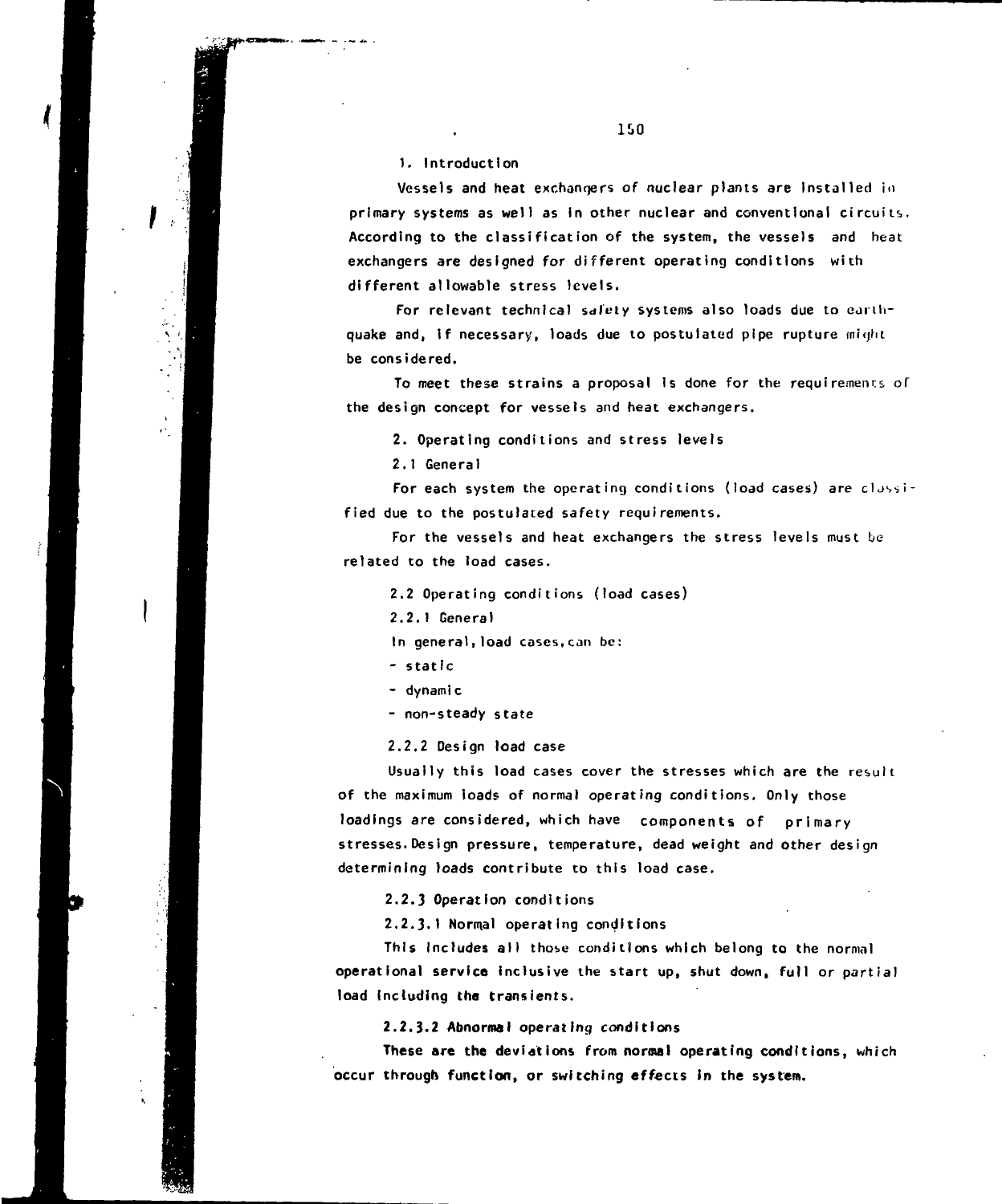**1. Introduction**

**Vessels and heat exchangers of nuclear plants are Installed in primary systems as well as In other nuclear and conventional circuits. According to the classification of the system, the vessels and heat exchangers are designed for different operating conditions with different allowable stress levels.**

For relevant technical safety systems also loads due to earthquake and, if necessary, loads due to postulated pipe rupture might **be considered.**

**To meet these strains a proposal is done for the requirements of the design concept for vessels and heat exchangers.**

**2. Operating conditions and stress levels**

**2.1 General**

**For each system the operating conditions (load cases) are classified due to the postulated safety requirements.**

**For the vessels and heat exchangers the stress levels must be related to the load cases.**

**2.2 Operating conditions (load cases)**

**2.2.1 General**

**In general,load cases,can be:**

**- static**

**- dynamic**

**- non-steady state**

**2.2.2 Design load case**

**Usually this load cases cover the stresses which are the result of the maximum loads of normal operating conditions. Only those** loadings are considered, which have components of primary **stresses.Design pressure, temperature, dead weight and other design determining loads contribute to this load case.**

**2.2.3 Operation conditions**

**2.2.3.1 Normal operating conditions**

**This Includes all those conditions which belong to the normal operational service inclusive the start up, shut down, full or partial load Including the transients.**

**2.2.3.2 Abnormal operating conditions**

**These are the deviations from normal operating conditions, which occur through function, or switching effects in the system.**

ISO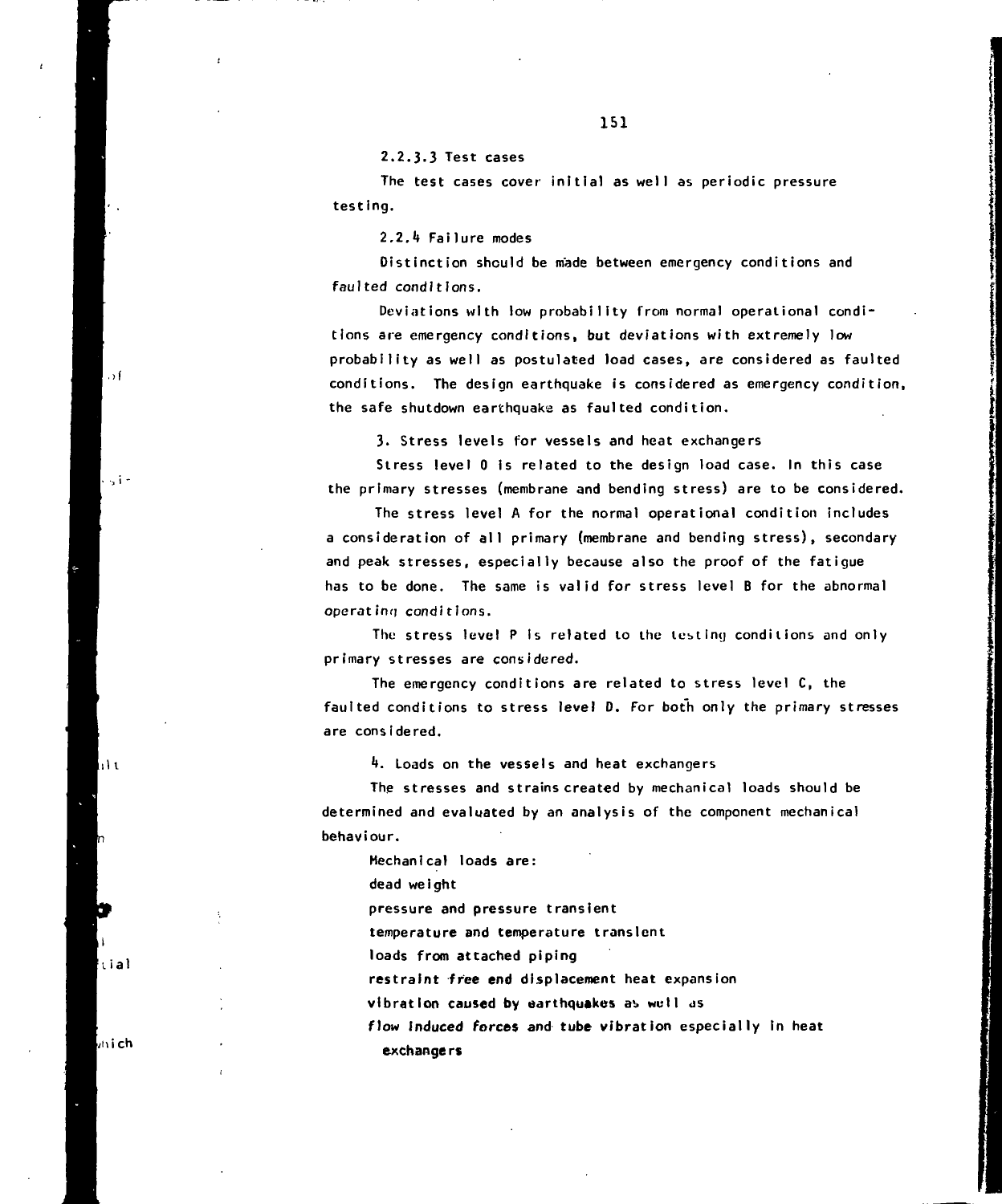**The test cases cover initial as well as periodic pressure testing.**

**2.2.1» Failure modes**

**Distinction should be made between emergency conditions and faulted conditions.**

**Deviations with low probability from normal operational conditions are emergency conditions, but deviations with extremely low probability as well as postulated load cases, are considered as faulted conditions. The design earthquake is considered as emergency condition, the safe shutdown earthquake as faulted condition.**

**3. Stress levels for vessels and heat exchangers**

**Stress level 0 Is related to the design load case. In this case the primary stresses (membrane and bending stress) are to be considered.**

**The stress level A for the normal operational condition includes a consideration of all primary (membrane and bending stress), secondary and peak stresses, especially because also the proof of the fatigue has to be done. The same is valid for stress level B for the abnormal operating conditions.**

**The stress level P Is related to the letting conditions and only primary stresses are considered.**

**The emergency conditions are related to stress level C, the faulted conditions to stress level D. For both only the primary stresses are considered.**

**\*\*. Loads on the vessels and heat exchangers**

**The stresses and strains created by mechanical loads should be determined and evaluated by an analysis of the component mechanical behaviour.**

**Mechanical loads are:**

**dead weight**

**pressure and pressure transient**

**temperature and temperature transient**

**loads from attached piping**

**restraint free end displacement heat expansion**

**vibration caused by earthquakes a>> wutl as**

**flow Induced forces and tube vibration especially In heat exchange rs**

**/hich**

**uai**

ا ۱۱

 $\rightarrow$  f

- زرا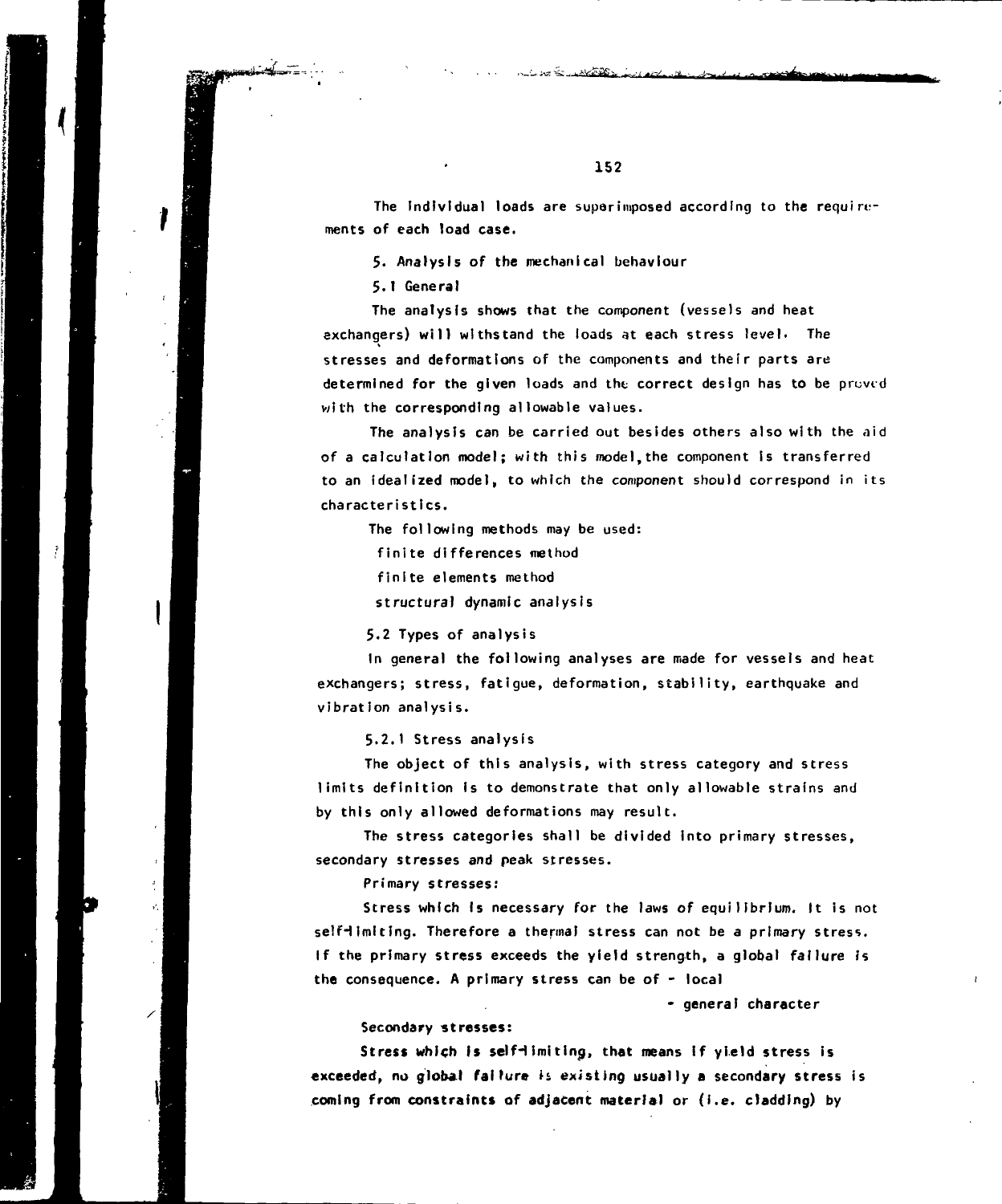The Individual loads are superimposed according to the requirements of each load case.

5. Analysis of the mechanical behaviour

5.1 General

The analysis shows that the component (vessels and heat exchangers) will withstand the loads at each stress level. The stresses and deformations of the components and their parts are determined for the given loads and the correct design has to be proved with the corresponding allowable values.

The analysis can be carried out besides others also with the aid of a calculation model; with this mode),the component is transferred to an idealized model, to which the component should correspond in its characteristics.

The following methods may be used:

finite differences method

finite elements method

structural dynamic analysis

5.2 Types of analysis

In general the following analyses are made for vessels and heat exchangers; stress, fatigue, deformation, stability, earthquake and vibration analysis.

5.2.I Stress analysis

The object of this analysis, with stress category and stress limits definition is to demonstrate that only allowable strains and by this only allowed deformations may result.

The stress categories shall be divided into primary stresses, secondary stresses and peak stresses.

Primary stresses:

 $\epsilon_{\rm s}^{\rm c}$ 

Stress which Is necessary for the laws of equilibrium. It is not self-limiting. Therefore a thermal stress can not be a primary stress. If the primary stress exceeds the yield strength, a global failure is **the** consequence. A primary stress can be of - local

- general character

Secondary **stresses:**

Stress which is self-limiting, that means if yield stress is **exceeded, no global failure n** existing **usually a secondary stress is coining from constraints of adjacent material or (i.e. cladding) by**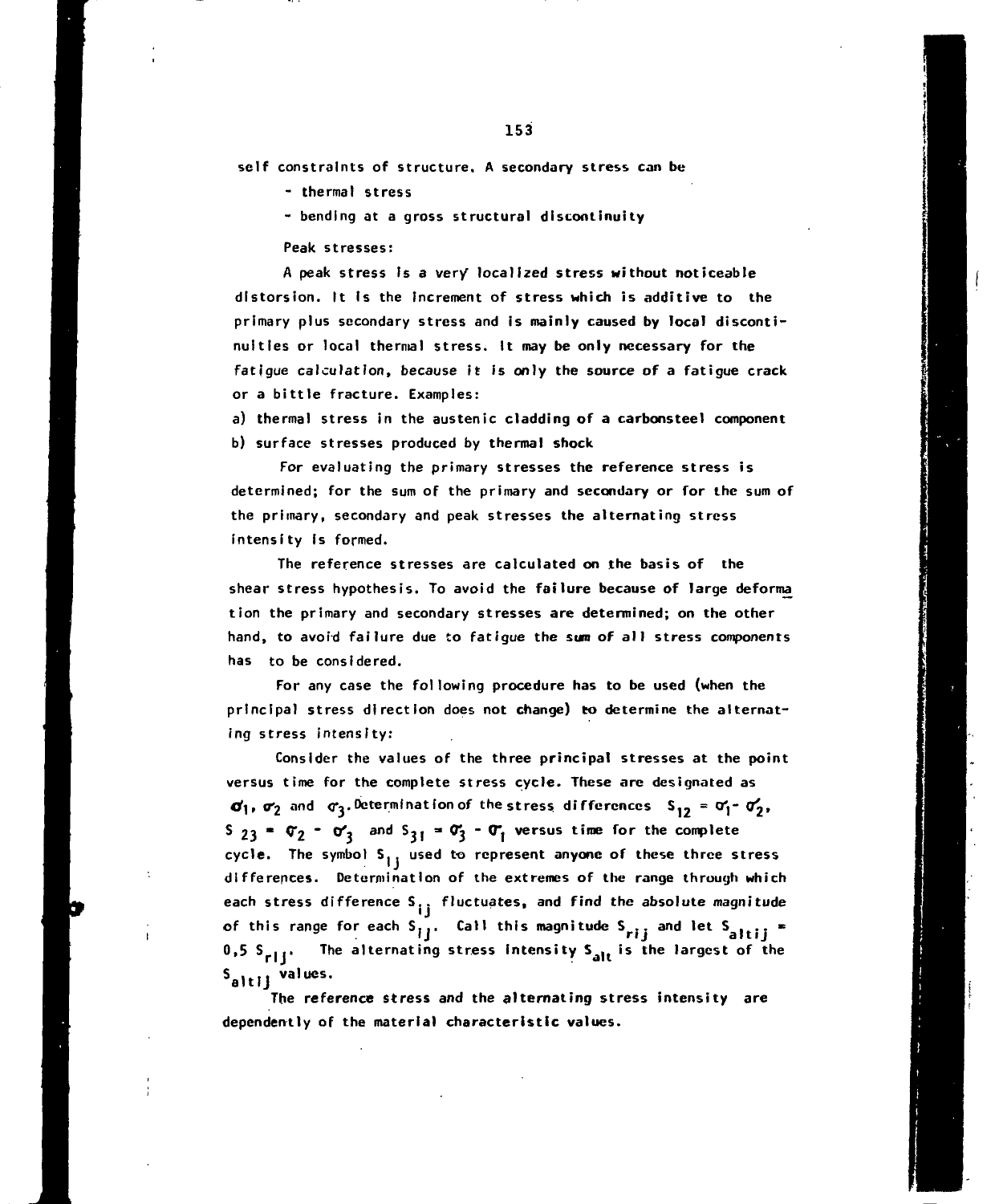**self constraints of structure. A secondary stress can be**

**- thermal stress**

**- bending at a gross structural discontinuity**

**Peak stresses:**

**A peak stress Is a ver/ localized stress without noticeable d is tors ion. It Is the increment of stress which is additive to the primary plus secondary stress and is mainly caused by local discontinuities or local thermal stress. It may be only necessary for the fatigue calculation, because it is only the source of a fatigue crack or a bittle fracture. Examples:**

**a) thermal stress in the austenic cladding of a carbonstee1 component b) surface stresses produced by thermal shock**

**For evaluating the primary stresses the reference stress is determined; for the sum of the primary and secondary or for the sum of the primary, secondary and peak stresses the alternating stress intensity Is formed.**

**The reference stresses are calculated on the basis of the shear stress hypothesis. To avoid the failure because of large deforma tion the primary and secondary stresses are determined; on the other hand, to avoid failure due to fatigue the sum of all stress components has to be considered.**

**For any case the following procedure has to be used (when the principal stress direction does not change) to determine the alternating stress intensity:**

**Consider the values of the three principal stresses at the point versus time for the complete stress cycle. These are designated as**  $\sigma_1$ ,  $\sigma_2$  and  $\sigma_3$ . Determination of the stress differences  $S_{12} = \sigma_1^2 - \sigma_2^2$ ,  $S_{23}$  **\***  $\sigma_2$  **\***  $\sigma_3$  and  $S_{31}$  **\***  $\sigma_3$  **\***  $\sigma_1$  versus time for the complete cycle. The symbol S<sub>11</sub> used to represent anyone of these three stress **differences. Determination of the extremes of the range through which** each stress difference S<sub>11</sub> fluctuates, and find the absolute magnitude of this range for each  $S_{ij}$ . Call this magnitude  $S_{rij}$  and let  $S_{a}$ <sub>111</sub> = **0,5 S ... The alternating stress intensity is the largest of the <sup>S</sup>altlj valucs-**

**The reference stress and the alternating stress intensity are dependently of the material characteristic values.**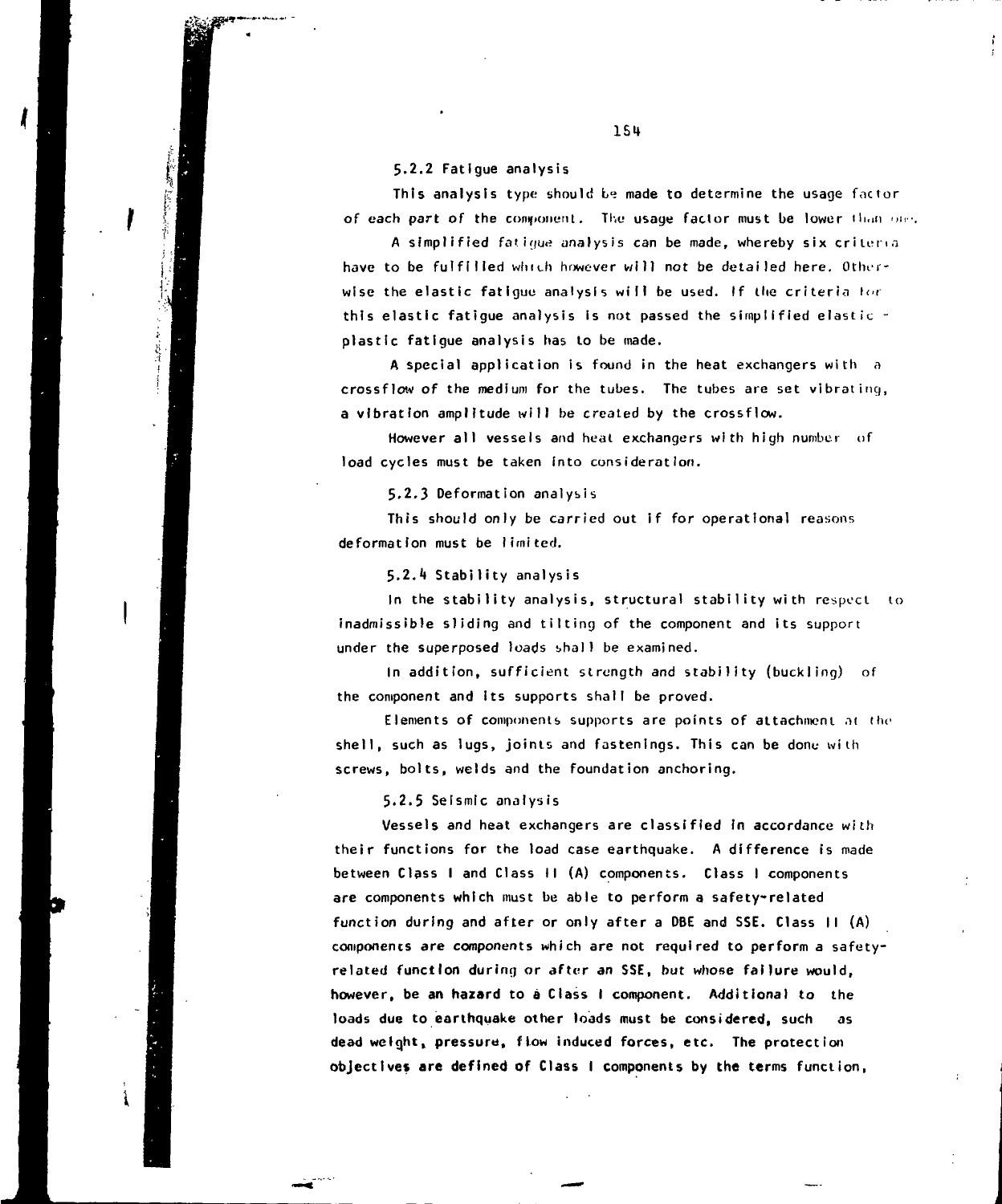5.2.2 Fatigue analysis

 $_{\rm J}$ 

This analysis type should be made to determine the usage factor of each part of the component. The usage factor must be lower than one.

A simplified fatigue analysis can be made, whereby six criteria have to be fulfilled which however will not be detailed here. Otherwise the elastic fatigue analysis will be used. If the criteria for this elastic fatigue analysis is not passed the simplified elastic plastic fatigue analysis has to be made.

A special application is found in the heat exchangers with a crossflow of the medium for the tubes. The tubes are set vibrating, a vibration amplitude will be created by the crossflow.

However all vessels and heat exchangers with high number of load cycles must be taken into consideration.

5.2.3 Deformation analysis

This should only be carried out if for operational reasons deformation must be limited.

5.2.4 Stability analysis

In the stability analysis, structural stability with respect to inadmissible sliding and tilting of the component and its support under the superposed loads shall be examined.

In addition, sufficient strength and stability (buckling) of the component and Its supports shall be proved.

Elements of components supports are points of attachment at the shell, such as lugs, joints and fastenings. This can be done with screws, bolts, welds and the foundation anchoring.

5.2.5 Seismic analysis

Vessels and heat exchangers are classified In accordance with their functions for the load case earthquake. A difference is made between Class I and Class II (A) components. Class I components are components which must be able to perform a safety-related function during and after or only after a OBE and SSE. Class II (A) components are components which are not required to perform a safetyrelated function during or after an SSE, but whose failure would, however, be an hazard to a Class I component. Additional to the loads due to earthquake other loads must be considered, such as dead weight, pressure, flow induced forces, etc. The protection objectives **are** defined of Class I components by the terms function,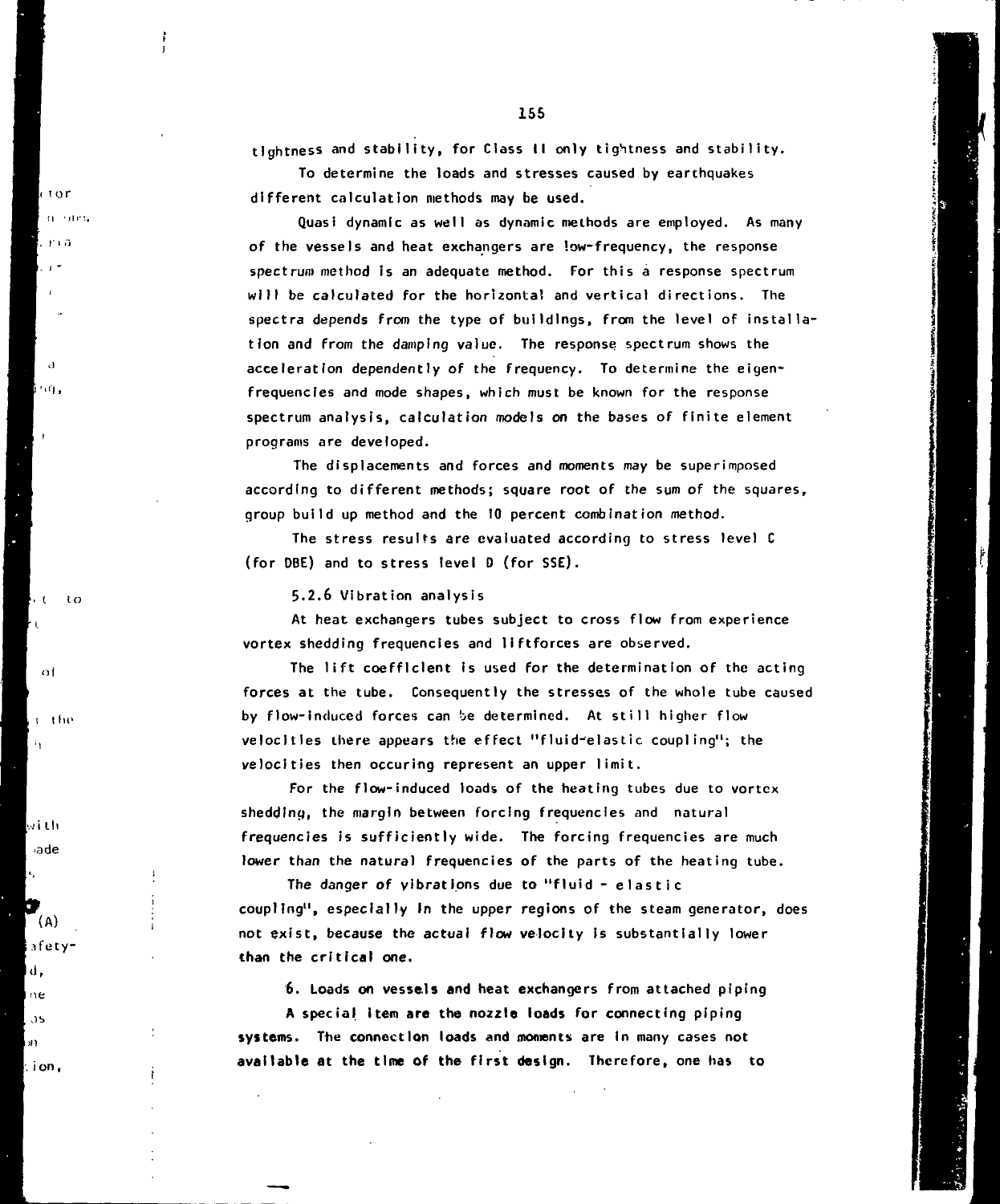155 **tightness and stability, for Class II only tightness and stability.**

**To determine the loads and stresses caused by earthquakes**

**different calculation methods may be used. Quasi dynamic as well as dynamic methods are employed. As many**

**of the vessels and heat exchangers are low-frequency, the response spectrum method Is an adequate method. For this a response spectrum will be calculated for the horizontal and vertical directions. The spectra depends from the type of buildings, from the level of installation and from the damping value. The response, spectrum shows the acceleration dependently of the frequency. To determine the eigenfrequencies and mode shapes, which must be known for the response spectrum analysis, calculation models on the bases of finite element programs are developed.**

**The displacements and forces and moments may be superimposed according to different methods; square root of the sum of the squares, group build up method and the 10 percent combination method.**

**The stress resulfs are evaluated according to stress level C (for DBE) and to stress level D (for SSE).**

**5.2.6 Vibration analysis**

**At heat exchangers tubes subject to cross flow from experience vortex shedding frequencies and llftforces are observed.**

**The lift coefficient Is used for the determination of the acting forces at the tube. Consequently the stresses of the whole tube caused** by flow-induced forces can be determined. At still higher flow **velocities there appears the effect "fluid^elastic coupling"; the velocities then occuring represent an upper limit.**

**For the flow-induced loads of the heating tubes due to vortex shedding, the margin between forcing frequencies and natural frequencies is sufficiently wide. The forcing frequencies are much lower than the natural frequencies of the parts of the heating tube.**

**The danger of vibrations due to "fluid - elasti c coupling", especially In the upper regions of the steam generator, does not exist, because the actual flow velocity is substantially lower than the critical one.**

**6. Loads on vessels and heat exchangers from attached piping**

**A special Item are the nozzle loads for connecting piping systems. The connection loads and moments are In many cases not available at the time of the first design. Therefore, one has to**

**"I,**

 $\mathbf{d}$ 

tor  $\alpha$  and m a

**( to**

**i I h o**

 $-$  of

−r the

**'.vM til ade**

**(A) Lifety-**

 $\mathbf d$  $\alpha$ e ា5 of )

**ion,**